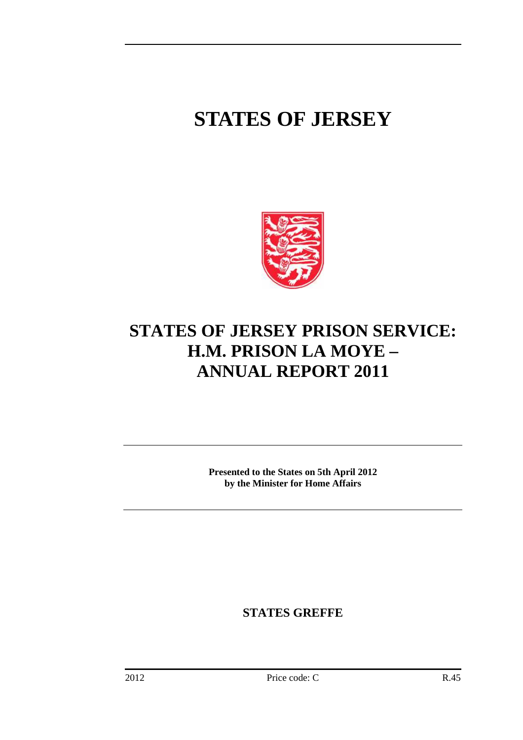# **STATES OF JERSEY**



# **STATES OF JERSEY PRISON SERVICE: H.M. PRISON LA MOYE – ANNUAL REPORT 2011**

**Presented to the States on 5th April 2012 by the Minister for Home Affairs** 

**STATES GREFFE**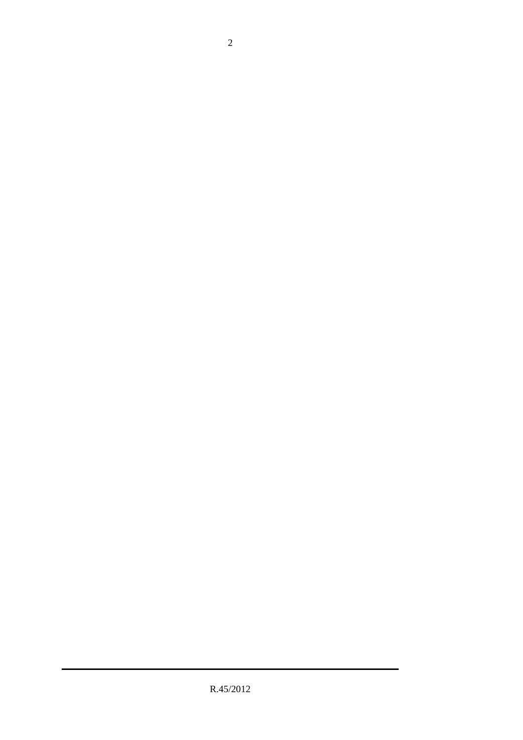2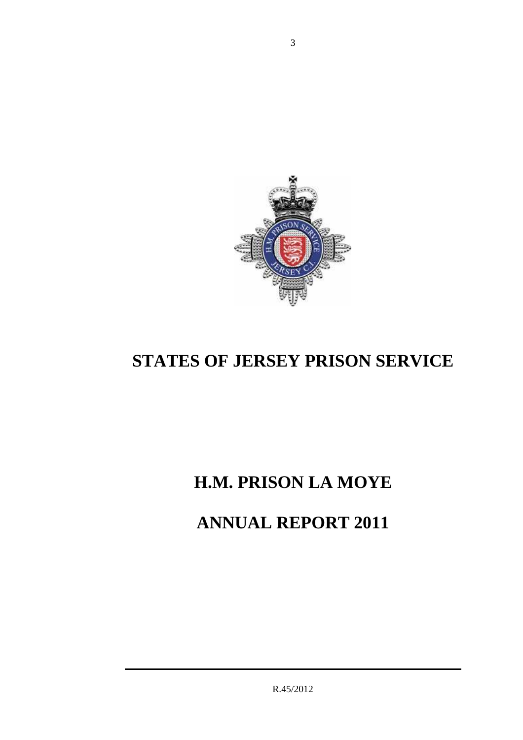

**STATES OF JERSEY PRISON SERVICE** 

# **H.M. PRISON LA MOYE**

# **ANNUAL REPORT 2011**

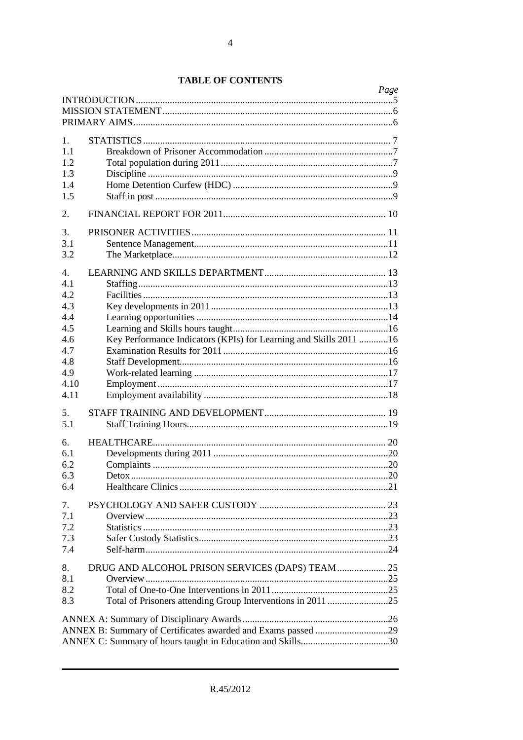| <b>TABLE OF CONTENTS</b> |
|--------------------------|
|--------------------------|

|                                                                                                                                                                    | Page |
|--------------------------------------------------------------------------------------------------------------------------------------------------------------------|------|
| 1.<br>1.1<br>1.2<br>1.3<br>1.4<br>1.5                                                                                                                              |      |
| 2.                                                                                                                                                                 |      |
| 3.<br>3.1<br>3.2                                                                                                                                                   |      |
| $\mathbf{4}$ .<br>4.1<br>4.2<br>4.3<br>4.4<br>4.5<br>Key Performance Indicators (KPIs) for Learning and Skills 2011 16<br>4.6<br>4.7<br>4.8<br>4.9<br>4.10<br>4.11 |      |
| 5.<br>5.1                                                                                                                                                          |      |
| 6.<br>6.1<br>6.2<br>6.3<br>6.4                                                                                                                                     |      |
| 7.<br>7.1<br>7.2<br>7.3<br>7.4                                                                                                                                     |      |
| DRUG AND ALCOHOL PRISON SERVICES (DAPS) TEAM  25<br>8.<br>8.1<br>8.2<br>8.3                                                                                        |      |
| ANNEX B: Summary of Certificates awarded and Exams passed 29                                                                                                       |      |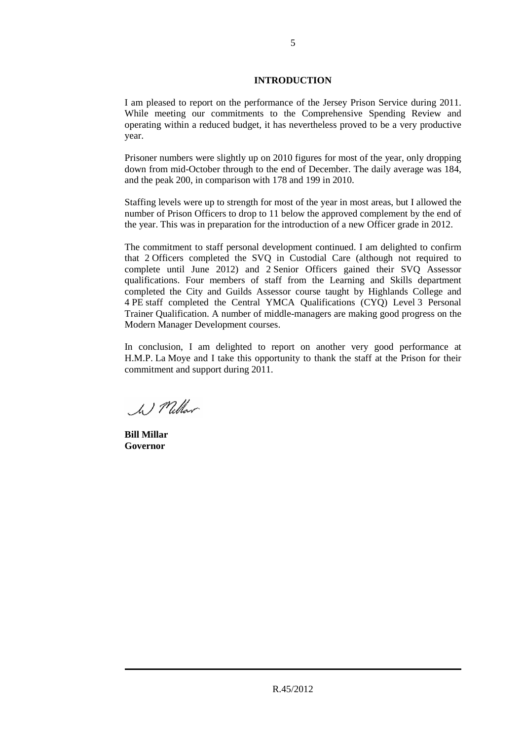#### **INTRODUCTION**

I am pleased to report on the performance of the Jersey Prison Service during 2011. While meeting our commitments to the Comprehensive Spending Review and operating within a reduced budget, it has nevertheless proved to be a very productive year.

Prisoner numbers were slightly up on 2010 figures for most of the year, only dropping down from mid-October through to the end of December. The daily average was 184, and the peak 200, in comparison with 178 and 199 in 2010.

Staffing levels were up to strength for most of the year in most areas, but I allowed the number of Prison Officers to drop to 11 below the approved complement by the end of the year. This was in preparation for the introduction of a new Officer grade in 2012.

The commitment to staff personal development continued. I am delighted to confirm that 2 Officers completed the SVQ in Custodial Care (although not required to complete until June 2012) and 2 Senior Officers gained their SVQ Assessor qualifications. Four members of staff from the Learning and Skills department completed the City and Guilds Assessor course taught by Highlands College and 4 PE staff completed the Central YMCA Qualifications (CYQ) Level 3 Personal Trainer Qualification. A number of middle-managers are making good progress on the Modern Manager Development courses.

In conclusion, I am delighted to report on another very good performance at H.M.P. La Moye and I take this opportunity to thank the staff at the Prison for their commitment and support during 2011.

W Mellar

**Bill Millar Governor**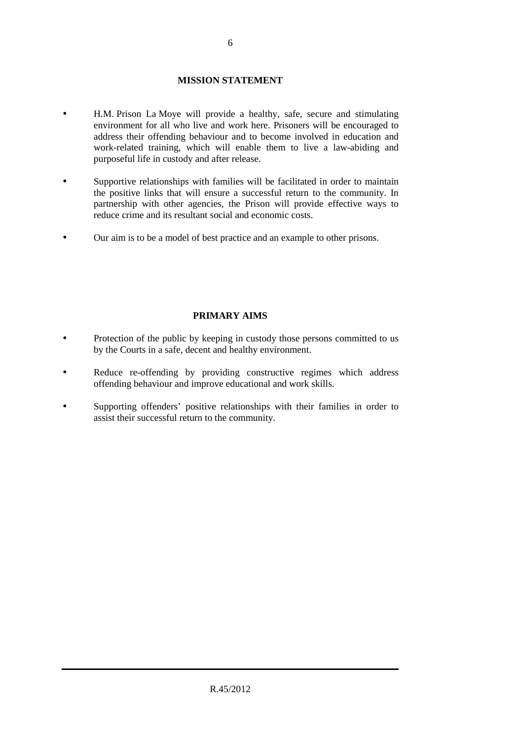#### **MISSION STATEMENT**

- H.M. Prison La Moye will provide a healthy, safe, secure and stimulating environment for all who live and work here. Prisoners will be encouraged to address their offending behaviour and to become involved in education and work-related training, which will enable them to live a law-abiding and purposeful life in custody and after release.
- Supportive relationships with families will be facilitated in order to maintain the positive links that will ensure a successful return to the community. In partnership with other agencies, the Prison will provide effective ways to reduce crime and its resultant social and economic costs.
- Our aim is to be a model of best practice and an example to other prisons.

# **PRIMARY AIMS**

- Protection of the public by keeping in custody those persons committed to us by the Courts in a safe, decent and healthy environment.
- Reduce re-offending by providing constructive regimes which address offending behaviour and improve educational and work skills.
- Supporting offenders' positive relationships with their families in order to assist their successful return to the community.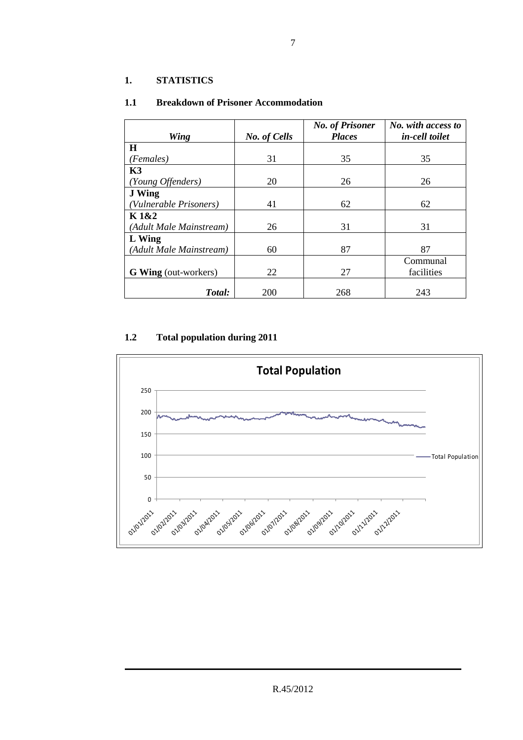# **1. STATISTICS**

| Wing                        | No. of Cells | <b>No. of Prisoner</b><br><b>Places</b> | No. with access to<br>in-cell toilet |
|-----------------------------|--------------|-----------------------------------------|--------------------------------------|
| H                           |              |                                         |                                      |
| (Females)                   | 31           | 35                                      | 35                                   |
| K3                          |              |                                         |                                      |
| (Young Offenders)           | 20           | 26                                      | 26                                   |
| <b>J</b> Wing               |              |                                         |                                      |
| (Vulnerable Prisoners)      | 41           | 62                                      | 62                                   |
| K1&2                        |              |                                         |                                      |
| (Adult Male Mainstream)     | 26           | 31                                      | 31                                   |
| L Wing                      |              |                                         |                                      |
| (Adult Male Mainstream)     | 60           | 87                                      | 87                                   |
|                             |              |                                         | Communal                             |
| <b>G Wing</b> (out-workers) | 22           | 27                                      | facilities                           |
| Total:                      | 200          | 268                                     | 243                                  |

# **1.1 Breakdown of Prisoner Accommodation**

# **1.2 Total population during 2011**

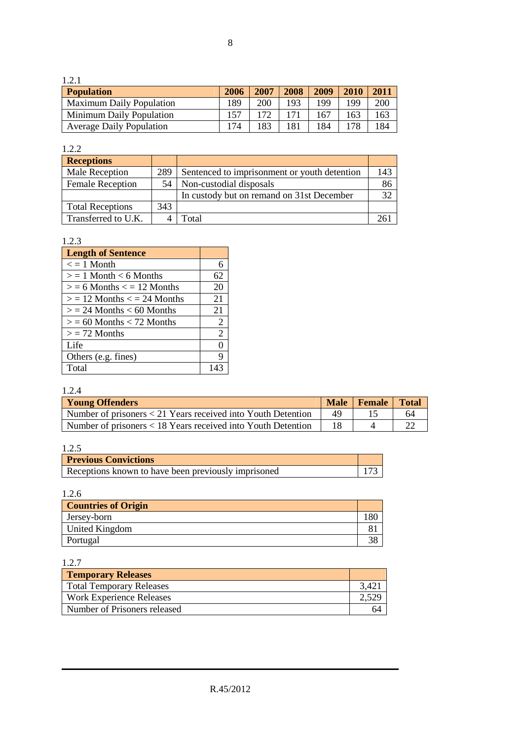# 1.2.1

| <b>Population</b>               | 2006 | 2007 | 2008 | 2009 | 2010 | 2011 |
|---------------------------------|------|------|------|------|------|------|
| <b>Maximum Daily Population</b> | 189  | 200  | 193  | 199  | 199  | 200  |
| Minimum Daily Population        | 157  |      |      | 167  | 163  | 163  |
| <b>Average Daily Population</b> | 74   | 183  | 181  | 184  | 78   | 184  |

1.2.2

| <b>Receptions</b>       |     |                                              |     |
|-------------------------|-----|----------------------------------------------|-----|
| <b>Male Reception</b>   | 289 | Sentenced to imprisonment or youth detention | 143 |
| <b>Female Reception</b> | 54  | Non-custodial disposals                      | 86  |
|                         |     | In custody but on remand on 31st December    | 32  |
| <b>Total Receptions</b> | 343 |                                              |     |
| Transferred to U.K.     |     | Total                                        |     |

# 1.2.3

| <b>Length of Sentence</b>           |    |
|-------------------------------------|----|
| $\epsilon$ = 1 Month                | 6  |
| $>$ = 1 Month < 6 Months            | 62 |
| $>$ = 6 Months $\lt$ = 12 Months    | 20 |
| $\ge$ = 12 Months $\lt$ = 24 Months | 21 |
| $>$ = 24 Months < 60 Months         | 21 |
| $\ge$ = 60 Months < 72 Months       | 2  |
| $>$ = 72 Months                     | 2  |
| Life                                | 0  |
| Others (e.g. fines)                 | 9  |
| Total                               |    |

# 1.2.4

| <b>Young Offenders</b>                                         |    | Male   Female   Total |    |
|----------------------------------------------------------------|----|-----------------------|----|
| Number of prisoners $<$ 21 Years received into Youth Detention | 49 |                       | 64 |
| Number of prisoners $<$ 18 Years received into Youth Detention |    |                       |    |

# 1.2.5

| <b>Previous Convictions</b>                         |  |
|-----------------------------------------------------|--|
| Receptions known to have been previously imprisoned |  |

1.2.6

| <b>Countries of Origin</b> |  |
|----------------------------|--|
| Jersey-born                |  |
| United Kingdom             |  |
| Portugal                   |  |

1.2.7

| <b>Temporary Releases</b>       |    |
|---------------------------------|----|
| <b>Total Temporary Releases</b> |    |
| <b>Work Experience Releases</b> |    |
| Number of Prisoners released    | 64 |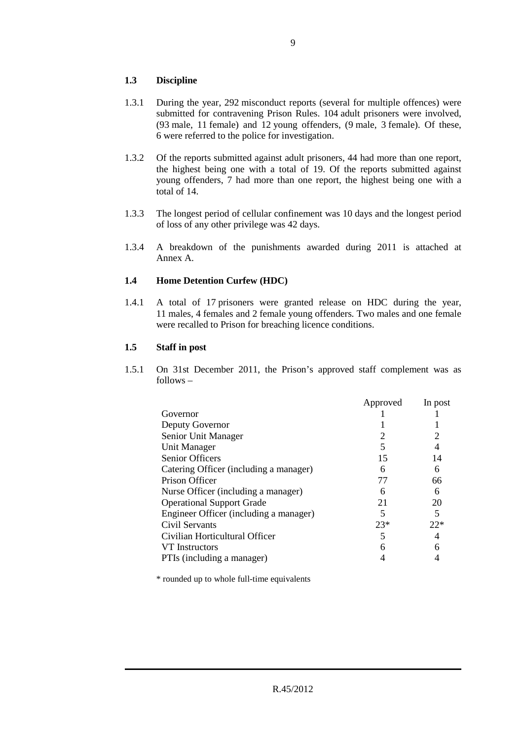## **1.3 Discipline**

- 1.3.1 During the year, 292 misconduct reports (several for multiple offences) were submitted for contravening Prison Rules. 104 adult prisoners were involved, (93 male, 11 female) and 12 young offenders, (9 male, 3 female). Of these, 6 were referred to the police for investigation.
- 1.3.2 Of the reports submitted against adult prisoners, 44 had more than one report, the highest being one with a total of 19. Of the reports submitted against young offenders, 7 had more than one report, the highest being one with a total of 14.
- 1.3.3 The longest period of cellular confinement was 10 days and the longest period of loss of any other privilege was 42 days.
- 1.3.4 A breakdown of the punishments awarded during 2011 is attached at Annex A.

#### **1.4 Home Detention Curfew (HDC)**

1.4.1 A total of 17 prisoners were granted release on HDC during the year, 11 males, 4 females and 2 female young offenders. Two males and one female were recalled to Prison for breaching licence conditions.

#### **1.5 Staff in post**

1.5.1 On 31st December 2011, the Prison's approved staff complement was as follows –

|                                        | Approved              | In post |
|----------------------------------------|-----------------------|---------|
| Governor                               |                       |         |
| Deputy Governor                        |                       |         |
| Senior Unit Manager                    | $\mathcal{D}_{\cdot}$ | 2       |
| Unit Manager                           | 5                     |         |
| <b>Senior Officers</b>                 | 15                    | 14      |
| Catering Officer (including a manager) | 6                     | 6       |
| Prison Officer                         | 77                    | 66      |
| Nurse Officer (including a manager)    | 6                     | 6       |
| <b>Operational Support Grade</b>       | 21                    | 20      |
| Engineer Officer (including a manager) | 5                     | 5       |
| Civil Servants                         | $23*$                 | $22*$   |
| Civilian Horticultural Officer         | 5                     |         |
| VT Instructors                         | 6                     |         |
| PTIs (including a manager)             |                       |         |

\* rounded up to whole full-time equivalents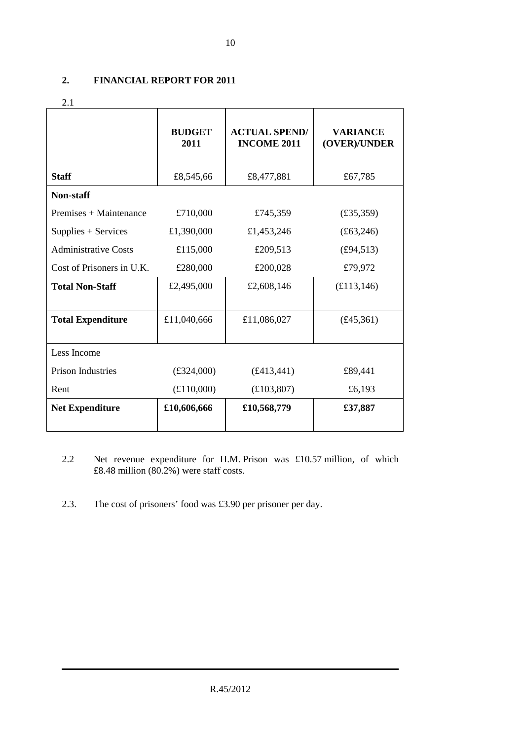# **2. FINANCIAL REPORT FOR 2011**

2.1

|                             | <b>BUDGET</b><br>2011 | <b>ACTUAL SPEND/</b><br><b>INCOME 2011</b> | <b>VARIANCE</b><br>(OVER)/UNDER |
|-----------------------------|-----------------------|--------------------------------------------|---------------------------------|
| <b>Staff</b>                | £8,545,66             | £8,477,881                                 | £67,785                         |
| <b>Non-staff</b>            |                       |                                            |                                 |
| Premises + Maintenance      | £710,000              | £745,359                                   | (E35, 359)                      |
| Supplies + Services         | £1,390,000            | £1,453,246                                 | (f63, 246)                      |
| <b>Administrative Costs</b> | £115,000              | £209,513                                   | £94,513)                        |
| Cost of Prisoners in U.K.   | £280,000              | £200,028                                   | £79,972                         |
| <b>Total Non-Staff</b>      | £2,495,000            | £2,608,146                                 | (E113, 146)                     |
| <b>Total Expenditure</b>    | £11,040,666           | £11,086,027                                | (E45, 361)                      |
| Less Income                 |                       |                                            |                                 |
| Prison Industries           | $(\pounds324,000)$    | (E413, 441)                                | £89,441                         |
| Rent                        | (E110,000)            | (E103, 807)                                | £6,193                          |
| <b>Net Expenditure</b>      | £10,606,666           | £10,568,779                                | £37,887                         |

2.2 Net revenue expenditure for H.M. Prison was £10.57 million, of which £8.48 million (80.2%) were staff costs.

2.3. The cost of prisoners' food was £3.90 per prisoner per day.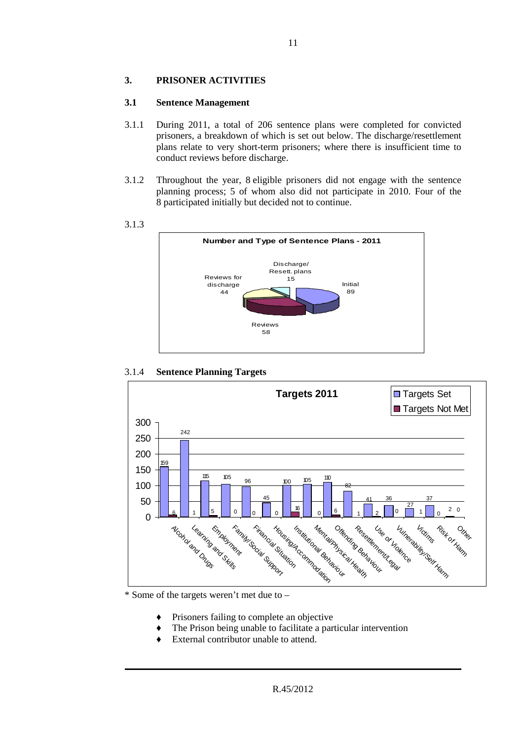# **3. PRISONER ACTIVITIES**

## **3.1 Sentence Management**

- 3.1.1 During 2011, a total of 206 sentence plans were completed for convicted prisoners, a breakdown of which is set out below. The discharge/resettlement plans relate to very short-term prisoners; where there is insufficient time to conduct reviews before discharge.
- 3.1.2 Throughout the year, 8 eligible prisoners did not engage with the sentence planning process; 5 of whom also did not participate in 2010. Four of the 8 participated initially but decided not to continue.







# 3.1.4 **Sentence Planning Targets**

\* Some of the targets weren't met due to –

- ♦ Prisoners failing to complete an objective
- The Prison being unable to facilitate a particular intervention
- ♦ External contributor unable to attend.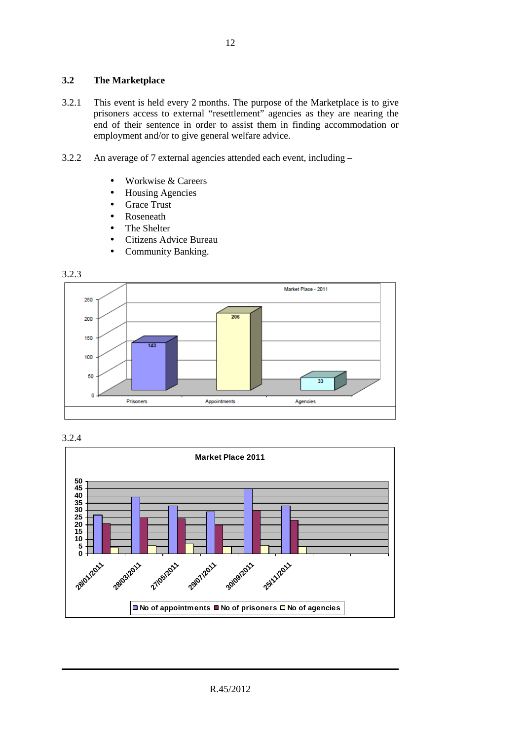#### **3.2 The Marketplace**

- 3.2.1 This event is held every 2 months. The purpose of the Marketplace is to give prisoners access to external "resettlement" agencies as they are nearing the end of their sentence in order to assist them in finding accommodation or employment and/or to give general welfare advice.
- 3.2.2 An average of 7 external agencies attended each event, including
	- Workwise & Careers
	- Housing Agencies
	- Grace Trust
	- Roseneath
	- The Shelter
	- Citizens Advice Bureau
	- Community Banking.





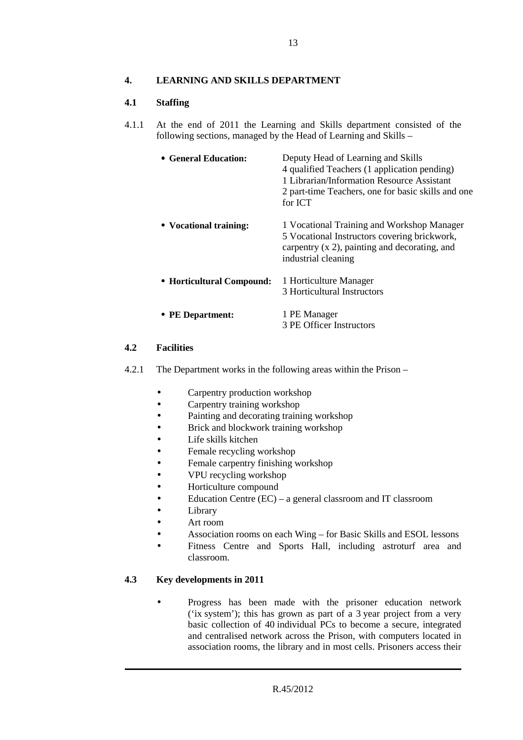# **4. LEARNING AND SKILLS DEPARTMENT**

# **4.1 Staffing**

4.1.1 At the end of 2011 the Learning and Skills department consisted of the following sections, managed by the Head of Learning and Skills –

| • General Education:      | Deputy Head of Learning and Skills<br>4 qualified Teachers (1 application pending)<br>1 Librarian/Information Resource Assistant<br>2 part-time Teachers, one for basic skills and one<br>for ICT |
|---------------------------|---------------------------------------------------------------------------------------------------------------------------------------------------------------------------------------------------|
| • Vocational training:    | 1 Vocational Training and Workshop Manager<br>5 Vocational Instructors covering brickwork,<br>carpentry $(x 2)$ , painting and decorating, and<br>industrial cleaning                             |
| • Horticultural Compound: | 1 Horticulture Manager<br>3 Horticultural Instructors                                                                                                                                             |
| • PE Department:          | 1 PE Manager<br>3 PE Officer Instructors                                                                                                                                                          |

# **4.2 Facilities**

- 4.2.1 The Department works in the following areas within the Prison
	- Carpentry production workshop
	- Carpentry training workshop
	- Painting and decorating training workshop
	- Brick and blockwork training workshop
	- Life skills kitchen
	- Female recycling workshop
	- Female carpentry finishing workshop
	- VPU recycling workshop
	- Horticulture compound
	- Education Centre (EC) a general classroom and IT classroom
	- Library
	- Art room
	- Association rooms on each Wing for Basic Skills and ESOL lessons
	- Fitness Centre and Sports Hall, including astroturf area and classroom.

# **4.3 Key developments in 2011**

• Progress has been made with the prisoner education network ('ix system'); this has grown as part of a 3 year project from a very basic collection of 40 individual PCs to become a secure, integrated and centralised network across the Prison, with computers located in association rooms, the library and in most cells. Prisoners access their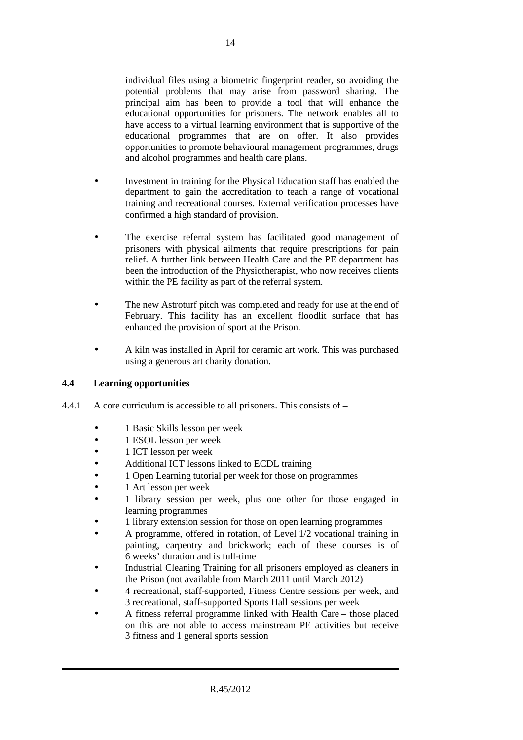individual files using a biometric fingerprint reader, so avoiding the potential problems that may arise from password sharing. The principal aim has been to provide a tool that will enhance the educational opportunities for prisoners. The network enables all to have access to a virtual learning environment that is supportive of the educational programmes that are on offer. It also provides opportunities to promote behavioural management programmes, drugs and alcohol programmes and health care plans.

- Investment in training for the Physical Education staff has enabled the department to gain the accreditation to teach a range of vocational training and recreational courses. External verification processes have confirmed a high standard of provision.
- The exercise referral system has facilitated good management of prisoners with physical ailments that require prescriptions for pain relief. A further link between Health Care and the PE department has been the introduction of the Physiotherapist, who now receives clients within the PE facility as part of the referral system.
- The new Astroturf pitch was completed and ready for use at the end of February. This facility has an excellent floodlit surface that has enhanced the provision of sport at the Prison.
- A kiln was installed in April for ceramic art work. This was purchased using a generous art charity donation.

## **4.4 Learning opportunities**

- 4.4.1 A core curriculum is accessible to all prisoners. This consists of
	- 1 Basic Skills lesson per week
	- 1 ESOL lesson per week
	- 1 ICT lesson per week
	- Additional ICT lessons linked to ECDL training
	- 1 Open Learning tutorial per week for those on programmes
	- 1 Art lesson per week
	- 1 library session per week, plus one other for those engaged in learning programmes
	- 1 library extension session for those on open learning programmes
	- A programme, offered in rotation, of Level 1/2 vocational training in painting, carpentry and brickwork; each of these courses is of 6 weeks' duration and is full-time
	- Industrial Cleaning Training for all prisoners employed as cleaners in the Prison (not available from March 2011 until March 2012)
	- 4 recreational, staff-supported, Fitness Centre sessions per week, and 3 recreational, staff-supported Sports Hall sessions per week
	- A fitness referral programme linked with Health Care those placed on this are not able to access mainstream PE activities but receive 3 fitness and 1 general sports session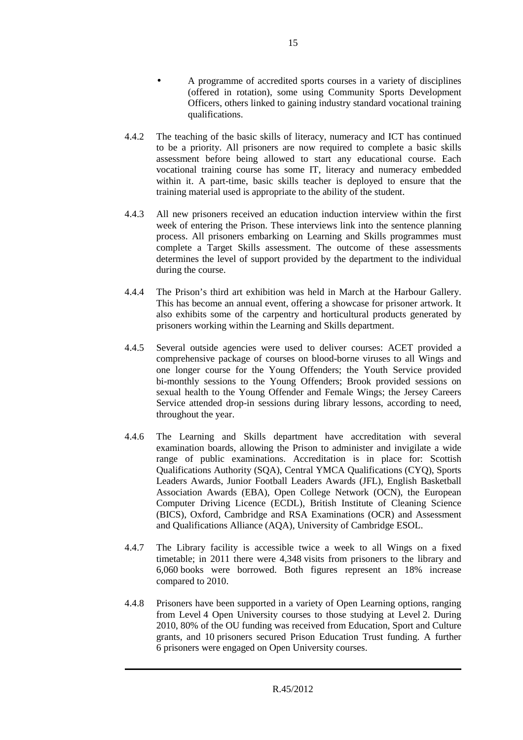- A programme of accredited sports courses in a variety of disciplines (offered in rotation), some using Community Sports Development Officers, others linked to gaining industry standard vocational training qualifications.
- 4.4.2 The teaching of the basic skills of literacy, numeracy and ICT has continued to be a priority. All prisoners are now required to complete a basic skills assessment before being allowed to start any educational course. Each vocational training course has some IT, literacy and numeracy embedded within it. A part-time, basic skills teacher is deployed to ensure that the training material used is appropriate to the ability of the student.
- 4.4.3 All new prisoners received an education induction interview within the first week of entering the Prison. These interviews link into the sentence planning process. All prisoners embarking on Learning and Skills programmes must complete a Target Skills assessment. The outcome of these assessments determines the level of support provided by the department to the individual during the course.
- 4.4.4 The Prison's third art exhibition was held in March at the Harbour Gallery. This has become an annual event, offering a showcase for prisoner artwork. It also exhibits some of the carpentry and horticultural products generated by prisoners working within the Learning and Skills department.
- 4.4.5 Several outside agencies were used to deliver courses: ACET provided a comprehensive package of courses on blood-borne viruses to all Wings and one longer course for the Young Offenders; the Youth Service provided bi-monthly sessions to the Young Offenders; Brook provided sessions on sexual health to the Young Offender and Female Wings; the Jersey Careers Service attended drop-in sessions during library lessons, according to need, throughout the year.
- 4.4.6 The Learning and Skills department have accreditation with several examination boards, allowing the Prison to administer and invigilate a wide range of public examinations. Accreditation is in place for: Scottish Qualifications Authority (SQA), Central YMCA Qualifications (CYQ), Sports Leaders Awards, Junior Football Leaders Awards (JFL), English Basketball Association Awards (EBA), Open College Network (OCN), the European Computer Driving Licence (ECDL), British Institute of Cleaning Science (BICS), Oxford, Cambridge and RSA Examinations (OCR) and Assessment and Qualifications Alliance (AQA), University of Cambridge ESOL.
- 4.4.7 The Library facility is accessible twice a week to all Wings on a fixed timetable; in 2011 there were 4,348 visits from prisoners to the library and 6,060 books were borrowed. Both figures represent an 18% increase compared to 2010.
- 4.4.8 Prisoners have been supported in a variety of Open Learning options, ranging from Level 4 Open University courses to those studying at Level 2. During 2010, 80% of the OU funding was received from Education, Sport and Culture grants, and 10 prisoners secured Prison Education Trust funding. A further 6 prisoners were engaged on Open University courses.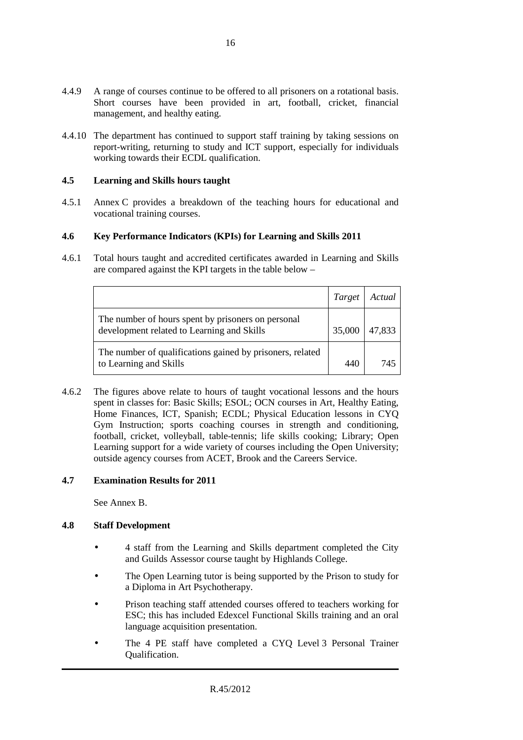- 4.4.9 A range of courses continue to be offered to all prisoners on a rotational basis. Short courses have been provided in art, football, cricket, financial management, and healthy eating.
- 4.4.10 The department has continued to support staff training by taking sessions on report-writing, returning to study and ICT support, especially for individuals working towards their ECDL qualification.

## **4.5 Learning and Skills hours taught**

4.5.1 Annex C provides a breakdown of the teaching hours for educational and vocational training courses.

## **4.6 Key Performance Indicators (KPIs) for Learning and Skills 2011**

4.6.1 Total hours taught and accredited certificates awarded in Learning and Skills are compared against the KPI targets in the table below –

|                                                                                                  | Target | Actual |
|--------------------------------------------------------------------------------------------------|--------|--------|
| The number of hours spent by prisoners on personal<br>development related to Learning and Skills | 35,000 | 47,833 |
| The number of qualifications gained by prisoners, related<br>to Learning and Skills              | 440    | 745    |

4.6.2 The figures above relate to hours of taught vocational lessons and the hours spent in classes for: Basic Skills; ESOL; OCN courses in Art, Healthy Eating, Home Finances, ICT, Spanish; ECDL; Physical Education lessons in CYQ Gym Instruction; sports coaching courses in strength and conditioning, football, cricket, volleyball, table-tennis; life skills cooking; Library; Open Learning support for a wide variety of courses including the Open University; outside agency courses from ACET, Brook and the Careers Service.

## **4.7 Examination Results for 2011**

See Annex B.

# **4.8 Staff Development**

- 4 staff from the Learning and Skills department completed the City and Guilds Assessor course taught by Highlands College.
- The Open Learning tutor is being supported by the Prison to study for a Diploma in Art Psychotherapy.
- Prison teaching staff attended courses offered to teachers working for ESC; this has included Edexcel Functional Skills training and an oral language acquisition presentation.
- The 4 PE staff have completed a CYO Level 3 Personal Trainer Qualification.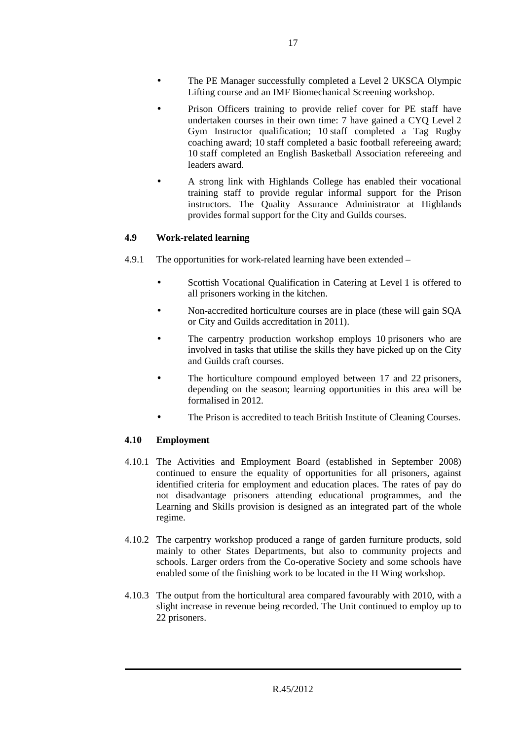- The PE Manager successfully completed a Level 2 UKSCA Olympic Lifting course and an IMF Biomechanical Screening workshop.
- Prison Officers training to provide relief cover for PE staff have undertaken courses in their own time: 7 have gained a CYQ Level 2 Gym Instructor qualification; 10 staff completed a Tag Rugby coaching award; 10 staff completed a basic football refereeing award; 10 staff completed an English Basketball Association refereeing and leaders award.
- A strong link with Highlands College has enabled their vocational training staff to provide regular informal support for the Prison instructors. The Quality Assurance Administrator at Highlands provides formal support for the City and Guilds courses.

# **4.9 Work-related learning**

- 4.9.1 The opportunities for work-related learning have been extended
	- Scottish Vocational Qualification in Catering at Level 1 is offered to all prisoners working in the kitchen.
	- Non-accredited horticulture courses are in place (these will gain SQA or City and Guilds accreditation in 2011).
	- The carpentry production workshop employs 10 prisoners who are involved in tasks that utilise the skills they have picked up on the City and Guilds craft courses.
	- The horticulture compound employed between 17 and 22 prisoners, depending on the season; learning opportunities in this area will be formalised in 2012.
	- The Prison is accredited to teach British Institute of Cleaning Courses.

## **4.10 Employment**

- 4.10.1 The Activities and Employment Board (established in September 2008) continued to ensure the equality of opportunities for all prisoners, against identified criteria for employment and education places. The rates of pay do not disadvantage prisoners attending educational programmes, and the Learning and Skills provision is designed as an integrated part of the whole regime.
- 4.10.2 The carpentry workshop produced a range of garden furniture products, sold mainly to other States Departments, but also to community projects and schools. Larger orders from the Co-operative Society and some schools have enabled some of the finishing work to be located in the H Wing workshop.
- 4.10.3 The output from the horticultural area compared favourably with 2010, with a slight increase in revenue being recorded. The Unit continued to employ up to 22 prisoners.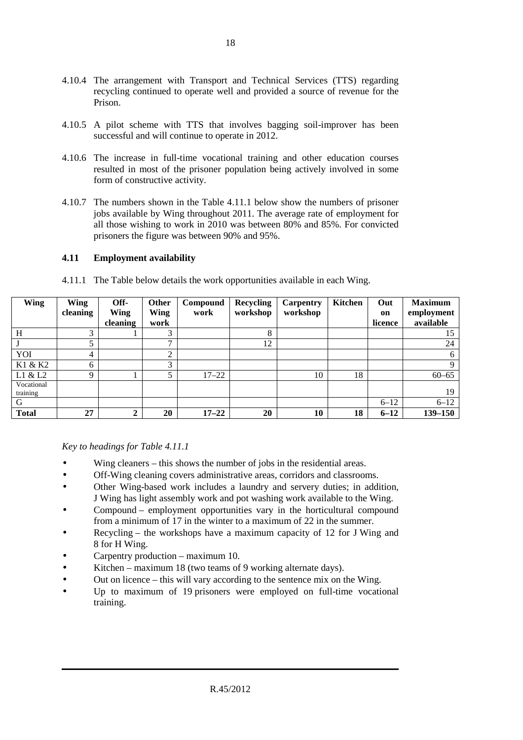- 4.10.4 The arrangement with Transport and Technical Services (TTS) regarding recycling continued to operate well and provided a source of revenue for the Prison.
- 4.10.5 A pilot scheme with TTS that involves bagging soil-improver has been successful and will continue to operate in 2012.
- 4.10.6 The increase in full-time vocational training and other education courses resulted in most of the prisoner population being actively involved in some form of constructive activity.
- 4.10.7 The numbers shown in the Table 4.11.1 below show the numbers of prisoner jobs available by Wing throughout 2011. The average rate of employment for all those wishing to work in 2010 was between 80% and 85%. For convicted prisoners the figure was between 90% and 95%.

#### **4.11 Employment availability**

| 4.11.1 The Table below details the work opportunities available in each Wing. |
|-------------------------------------------------------------------------------|
|                                                                               |

| Wing                   | Wing     | Off-         | Other          | Compound  | <b>Recycling</b> | Carpentry | <b>Kitchen</b> | Out      | <b>Maximum</b> |
|------------------------|----------|--------------|----------------|-----------|------------------|-----------|----------------|----------|----------------|
|                        | cleaning | Wing         | Wing           | work      | workshop         | workshop  |                | on       | employment     |
|                        |          | cleaning     | work           |           |                  |           |                | licence  | available      |
| H                      | 3        |              | 3              |           | 8                |           |                |          | 15             |
|                        |          |              | $\mathbf{r}$   |           | 12               |           |                |          | 24             |
| YOI                    | 4        |              | $\overline{2}$ |           |                  |           |                |          | 6              |
| K1 & K2                | 6        |              | 3              |           |                  |           |                |          | 9              |
| L1 & L2                | Q        |              | 5              | $17 - 22$ |                  | 10        | 18             |          | $60 - 65$      |
| Vocational<br>training |          |              |                |           |                  |           |                |          | 19             |
| G                      |          |              |                |           |                  |           |                | $6 - 12$ | $6 - 12$       |
| <b>Total</b>           | 27       | $\mathbf{2}$ | 20             | $17 - 22$ | 20               | 10        | 18             | $6 - 12$ | 139–150        |

*Key to headings for Table 4.11.1* 

- Wing cleaners this shows the number of jobs in the residential areas.
- Off-Wing cleaning covers administrative areas, corridors and classrooms.
- Other Wing-based work includes a laundry and servery duties; in addition, J Wing has light assembly work and pot washing work available to the Wing.
- Compound employment opportunities vary in the horticultural compound from a minimum of 17 in the winter to a maximum of 22 in the summer.
- Recycling the workshops have a maximum capacity of 12 for J Wing and 8 for H Wing.
- Carpentry production maximum 10.
- Kitchen maximum 18 (two teams of 9 working alternate days).
- Out on licence this will vary according to the sentence mix on the Wing.
- Up to maximum of 19 prisoners were employed on full-time vocational training.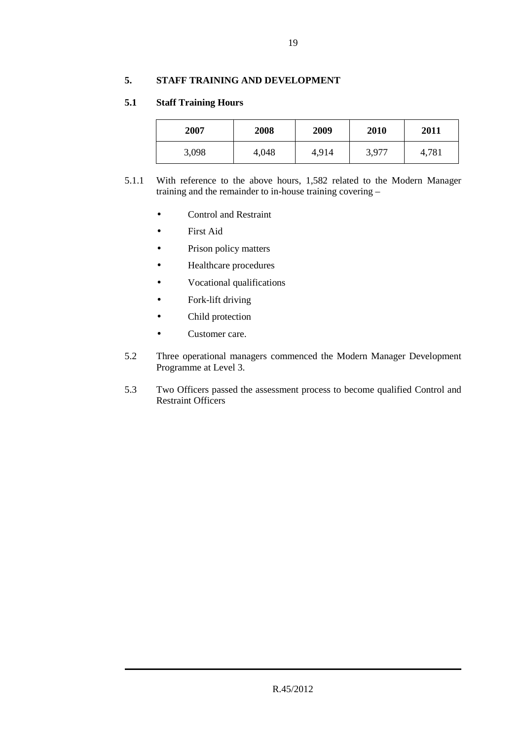### **5. STAFF TRAINING AND DEVELOPMENT**

# **5.1 Staff Training Hours**

| 2007  | 2008  | 2009  | 2010  | 2011  |  |
|-------|-------|-------|-------|-------|--|
| 3,098 | 4,048 | 4,914 | 3,977 | 4,781 |  |

- 5.1.1 With reference to the above hours, 1,582 related to the Modern Manager training and the remainder to in-house training covering –
	- Control and Restraint
	- First Aid
	- Prison policy matters
	- **Healthcare procedures**
	- Vocational qualifications
	- Fork-lift driving
	- Child protection
	- Customer care.
- 5.2 Three operational managers commenced the Modern Manager Development Programme at Level 3.
- 5.3 Two Officers passed the assessment process to become qualified Control and Restraint Officers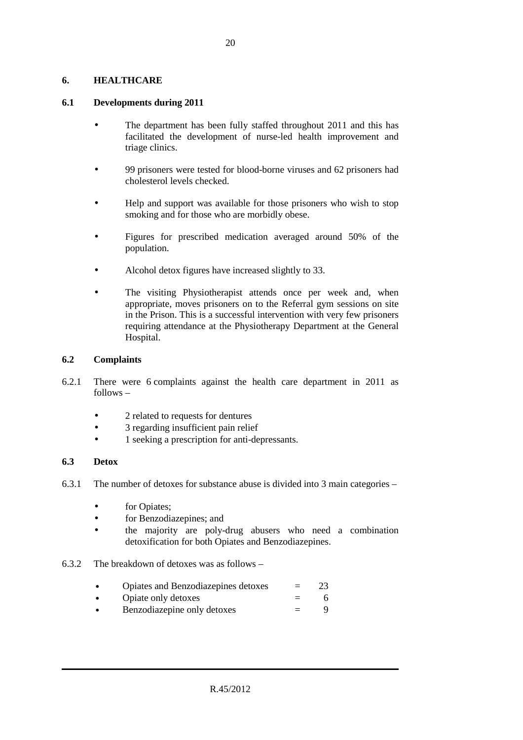#### **6. HEALTHCARE**

## **6.1 Developments during 2011**

- The department has been fully staffed throughout 2011 and this has facilitated the development of nurse-led health improvement and triage clinics.
- 99 prisoners were tested for blood-borne viruses and 62 prisoners had cholesterol levels checked.
- Help and support was available for those prisoners who wish to stop smoking and for those who are morbidly obese.
- Figures for prescribed medication averaged around 50% of the population.
- Alcohol detox figures have increased slightly to 33.
- The visiting Physiotherapist attends once per week and, when appropriate, moves prisoners on to the Referral gym sessions on site in the Prison. This is a successful intervention with very few prisoners requiring attendance at the Physiotherapy Department at the General Hospital.

#### **6.2 Complaints**

- 6.2.1 There were 6 complaints against the health care department in 2011 as follows –
	- 2 related to requests for dentures
	- 3 regarding insufficient pain relief
	- 1 seeking a prescription for anti-depressants.

#### **6.3 Detox**

- 6.3.1 The number of detoxes for substance abuse is divided into 3 main categories
	- for Opiates;
	- for Benzodiazepines; and
	- the majority are poly-drug abusers who need a combination detoxification for both Opiates and Benzodiazepines.
- 6.3.2 The breakdown of detoxes was as follows
	- Opiates and Benzodiazepines detoxes  $=$  23
	- Opiate only detoxes  $= 6$
	- $\beta$  Benzodiazepine only detoxes  $\beta$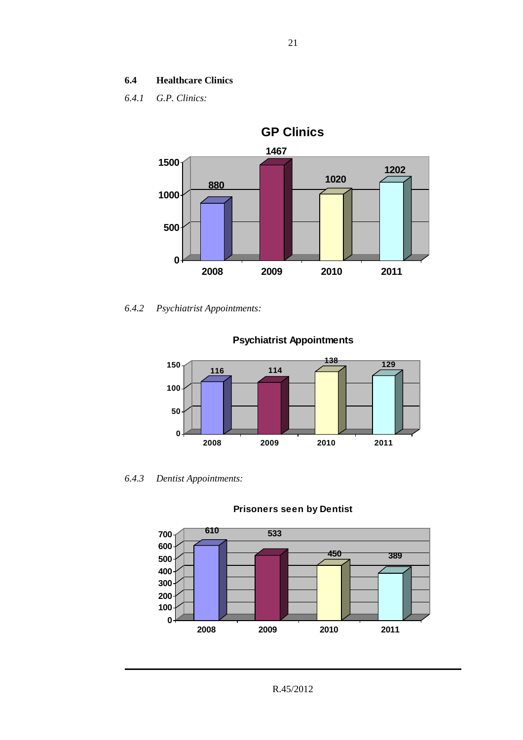#### **6.4 Healthcare Clinics**

*6.4.1 G.P. Clinics:* 



*6.4.2 Psychiatrist Appointments:* 



# **Psychiatrist Appointments**

*6.4.3 Dentist Appointments:* 



**Prisoners seen by Dentist**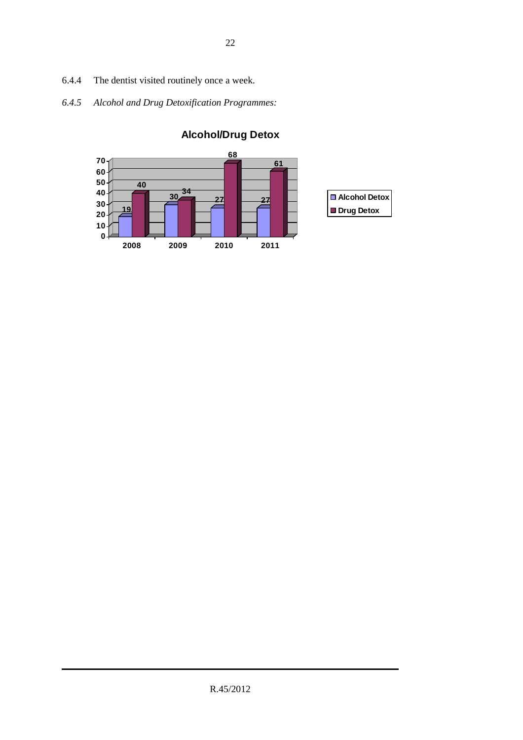- 6.4.4 The dentist visited routinely once a week.
- *6.4.5 Alcohol and Drug Detoxification Programmes:*



# **Alcohol/Drug Detox**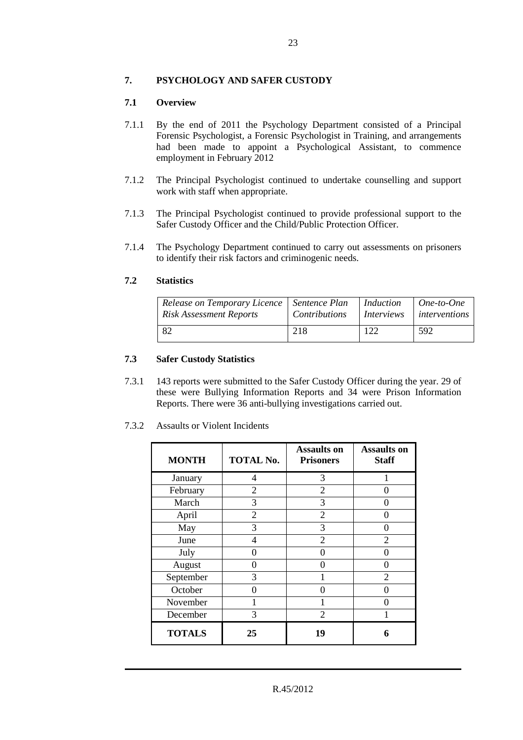# **7. PSYCHOLOGY AND SAFER CUSTODY**

## **7.1 Overview**

- 7.1.1 By the end of 2011 the Psychology Department consisted of a Principal Forensic Psychologist, a Forensic Psychologist in Training, and arrangements had been made to appoint a Psychological Assistant, to commence employment in February 2012
- 7.1.2 The Principal Psychologist continued to undertake counselling and support work with staff when appropriate.
- 7.1.3 The Principal Psychologist continued to provide professional support to the Safer Custody Officer and the Child/Public Protection Officer.
- 7.1.4 The Psychology Department continued to carry out assessments on prisoners to identify their risk factors and criminogenic needs.

#### **7.2 Statistics**

| Release on Temporary Licence   Sentence Plan | Contributions | Induction  | $One-to-One$  |
|----------------------------------------------|---------------|------------|---------------|
| <b>Risk Assessment Reports</b>               |               | Interviews | interventions |
| 82                                           | 218           | 122        | 592           |

#### **7.3 Safer Custody Statistics**

- 7.3.1 143 reports were submitted to the Safer Custody Officer during the year. 29 of these were Bullying Information Reports and 34 were Prison Information Reports. There were 36 anti-bullying investigations carried out.
- 7.3.2 Assaults or Violent Incidents

| <b>MONTH</b>  | <b>TOTAL No.</b> | <b>Assaults on</b><br><b>Prisoners</b> | <b>Assaults on</b><br><b>Staff</b> |
|---------------|------------------|----------------------------------------|------------------------------------|
| January       | 4                | 3                                      |                                    |
| February      | $\overline{2}$   | $\overline{2}$                         | 0                                  |
| March         | 3                | 3                                      | 0                                  |
| April         | $\overline{2}$   | $\overline{2}$                         | 0                                  |
| May           | 3                | 3                                      | 0                                  |
| June          | 4                | $\overline{2}$                         | $\overline{2}$                     |
| July          | $\Omega$         | 0                                      | 0                                  |
| August        | $\Omega$         | 0                                      | 0                                  |
| September     | 3                |                                        | $\overline{2}$                     |
| October       | $\Omega$         | 0                                      | 0                                  |
| November      |                  | 1                                      | 0                                  |
| December      | 3                | 2                                      |                                    |
| <b>TOTALS</b> | 25               | 19                                     | 6                                  |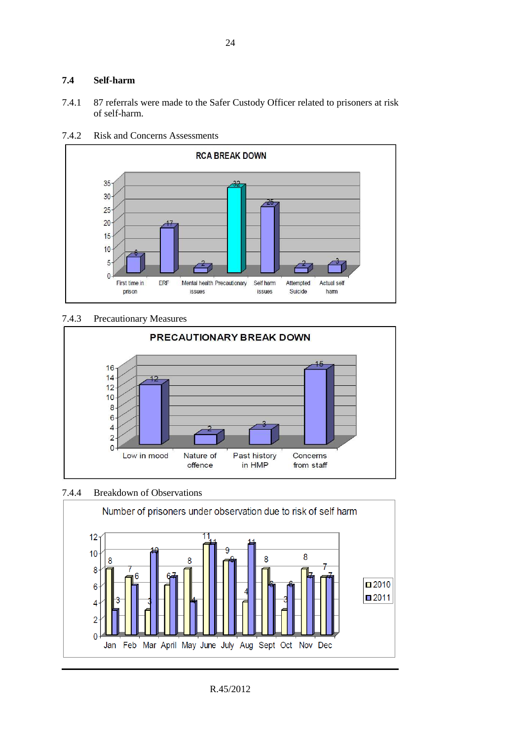## **7.4 Self-harm**

7.4.1 87 referrals were made to the Safer Custody Officer related to prisoners at risk of self-harm.



7.4.2 Risk and Concerns Assessments

## 7.4.3 Precautionary Measures





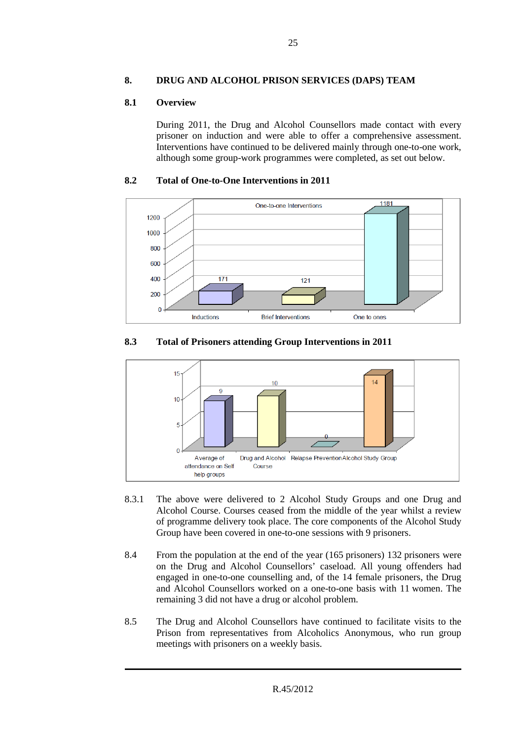# **8. DRUG AND ALCOHOL PRISON SERVICES (DAPS) TEAM**

# **8.1 Overview**

 During 2011, the Drug and Alcohol Counsellors made contact with every prisoner on induction and were able to offer a comprehensive assessment. Interventions have continued to be delivered mainly through one-to-one work, although some group-work programmes were completed, as set out below.

# **8.2 Total of One-to-One Interventions in 2011**



# **8.3 Total of Prisoners attending Group Interventions in 2011**



- 8.3.1 The above were delivered to 2 Alcohol Study Groups and one Drug and Alcohol Course. Courses ceased from the middle of the year whilst a review of programme delivery took place. The core components of the Alcohol Study Group have been covered in one-to-one sessions with 9 prisoners.
- 8.4 From the population at the end of the year (165 prisoners) 132 prisoners were on the Drug and Alcohol Counsellors' caseload. All young offenders had engaged in one-to-one counselling and, of the 14 female prisoners, the Drug and Alcohol Counsellors worked on a one-to-one basis with 11 women. The remaining 3 did not have a drug or alcohol problem.
- 8.5 The Drug and Alcohol Counsellors have continued to facilitate visits to the Prison from representatives from Alcoholics Anonymous, who run group meetings with prisoners on a weekly basis.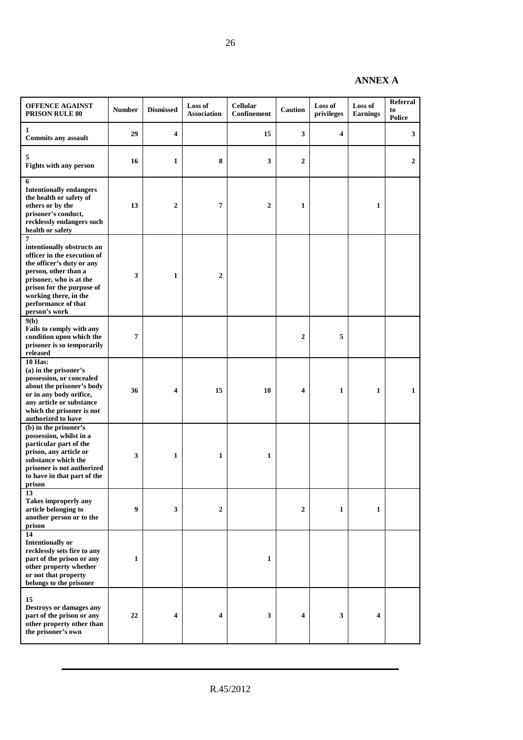# **ANNEX A**

| <b>OFFENCE AGAINST</b><br><b>PRISON RULE 80</b>                                                                                                                                                                                              | <b>Number</b> | <b>Dismissed</b> | Loss of<br><b>Association</b> | <b>Cellular</b><br>Confinement | <b>Caution</b> | Loss of<br>privileges   | Loss of<br><b>Earnings</b> | Referral<br>to<br><b>Police</b> |
|----------------------------------------------------------------------------------------------------------------------------------------------------------------------------------------------------------------------------------------------|---------------|------------------|-------------------------------|--------------------------------|----------------|-------------------------|----------------------------|---------------------------------|
| 1<br><b>Commits any assault</b>                                                                                                                                                                                                              | 29            | 4                |                               | 15                             | $\mathbf{3}$   | $\overline{\mathbf{4}}$ |                            | $\mathbf{3}$                    |
| 5<br><b>Fights with any person</b>                                                                                                                                                                                                           | 16            | $\mathbf{1}$     | 8                             | 3                              | $\overline{2}$ |                         |                            | $\mathbf{2}$                    |
| 6<br><b>Intentionally endangers</b><br>the health or safety of<br>others or by the<br>prisoner's conduct,<br>recklessly endangers such<br>health or safety                                                                                   | 13            | 2                | 7                             | $\overline{2}$                 | 1              |                         | 1                          |                                 |
| 7<br>intentionally obstructs an<br>officer in the execution of<br>the officer's duty or any<br>person, other than a<br>prisoner, who is at the<br>prison for the purpose of<br>working there, in the<br>performance of that<br>person's work | 3             | 1                | $\boldsymbol{2}$              |                                |                |                         |                            |                                 |
| 9(b)<br>Fails to comply with any<br>condition upon which the<br>prisoner is so temporarily<br>released                                                                                                                                       | 7             |                  |                               |                                | $\overline{2}$ | 5                       |                            |                                 |
| <b>10 Has:</b><br>(a) in the prisoner's<br>possession, or concealed<br>about the prisoner's body<br>or in any body orifice,<br>any article or substance<br>which the prisoner is not<br>authorized to have                                   | 36            | 4                | 15                            | 10                             | 4              | 1                       | 1                          | $\mathbf{1}$                    |
| (b) in the prisoner's<br>possession, whilst in a<br>particular part of the<br>prison, any article or<br>substance which the<br>prisoner is not authorized<br>to have in that part of the<br>prison                                           | 3             | 1                | 1                             | 1                              |                |                         |                            |                                 |
| 13<br><b>Takes improperly any</b><br>article belonging to<br>another person or to the<br>prison                                                                                                                                              | 9             | 3                | $\boldsymbol{2}$              |                                | $\overline{2}$ | $\mathbf{1}$            | $\mathbf{1}$               |                                 |
| 14<br><b>Intentionally or</b><br>recklessly sets fire to any<br>part of the prison or any<br>other property whether<br>or not that property<br>belongs to the prisoner                                                                       | 1             |                  |                               | $\mathbf{1}$                   |                |                         |                            |                                 |
| 15<br>Destroys or damages any<br>part of the prison or any<br>other property other than<br>the prisoner's own                                                                                                                                | 22            | 4                | 4                             | 3                              | 4              | 3                       | 4                          |                                 |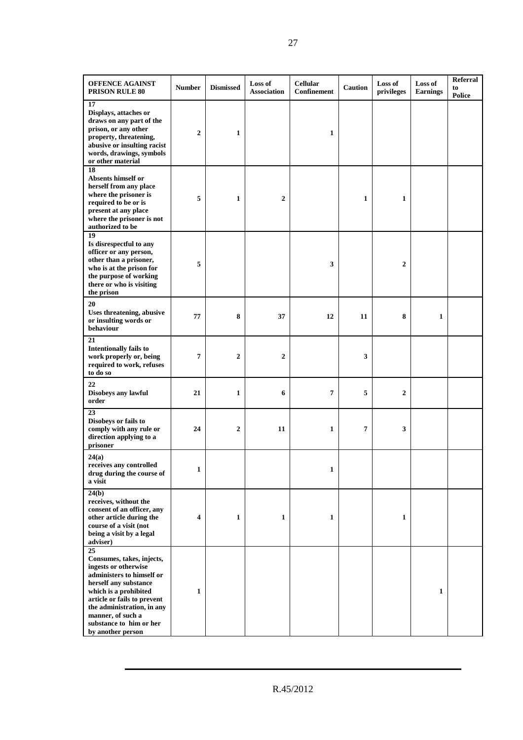| <b>OFFENCE AGAINST</b><br><b>PRISON RULE 80</b>                                                                                                                                                                                                                          | <b>Number</b>  | <b>Dismissed</b> | Loss of<br><b>Association</b> | <b>Cellular</b><br><b>Confinement</b> | <b>Caution</b> | Loss of<br>privileges | Loss of<br><b>Earnings</b> | <b>Referral</b><br>to<br><b>Police</b> |
|--------------------------------------------------------------------------------------------------------------------------------------------------------------------------------------------------------------------------------------------------------------------------|----------------|------------------|-------------------------------|---------------------------------------|----------------|-----------------------|----------------------------|----------------------------------------|
| 17<br>Displays, attaches or<br>draws on any part of the<br>prison, or any other<br>property, threatening,<br>abusive or insulting racist<br>words, drawings, symbols<br>or other material                                                                                | $\overline{2}$ | $\mathbf{1}$     |                               | 1                                     |                |                       |                            |                                        |
| 18<br><b>Absents himself or</b><br>herself from any place<br>where the prisoner is<br>required to be or is<br>present at any place<br>where the prisoner is not<br>authorized to be                                                                                      | 5              | $\mathbf{1}$     | $\boldsymbol{2}$              |                                       | 1              | 1                     |                            |                                        |
| 19<br>Is disrespectful to any<br>officer or any person,<br>other than a prisoner,<br>who is at the prison for<br>the purpose of working<br>there or who is visiting<br>the prison                                                                                        | 5              |                  |                               | 3                                     |                | $\overline{2}$        |                            |                                        |
| 20<br>Uses threatening, abusive<br>or insulting words or<br>behaviour                                                                                                                                                                                                    | 77             | 8                | 37                            | 12                                    | 11             | 8                     | $\mathbf{1}$               |                                        |
| 21<br><b>Intentionally fails to</b><br>work properly or, being<br>required to work, refuses<br>to do so                                                                                                                                                                  | 7              | $\overline{2}$   | $\boldsymbol{2}$              |                                       | 3              |                       |                            |                                        |
| 22<br>Disobeys any lawful<br>order                                                                                                                                                                                                                                       | 21             | $\mathbf{1}$     | 6                             | 7                                     | 5              | 2                     |                            |                                        |
| 23<br>Disobeys or fails to<br>comply with any rule or<br>direction applying to a<br>prisoner                                                                                                                                                                             | 24             | $\boldsymbol{2}$ | 11                            | 1                                     | 7              | 3                     |                            |                                        |
| 24(a)<br>receives any controlled<br>drug during the course of<br>a visit                                                                                                                                                                                                 | $\mathbf{1}$   |                  |                               | 1                                     |                |                       |                            |                                        |
| 24(b)<br>receives, without the<br>consent of an officer, any<br>other article during the<br>course of a visit (not<br>being a visit by a legal<br>adviser)                                                                                                               | 4              | $\mathbf{1}$     | 1                             | 1                                     |                | 1                     |                            |                                        |
| 25<br>Consumes, takes, injects,<br>ingests or otherwise<br>administers to himself or<br>herself any substance<br>which is a prohibited<br>article or fails to prevent<br>the administration, in any<br>manner, of such a<br>substance to him or her<br>by another person | $\mathbf{1}$   |                  |                               |                                       |                |                       | 1                          |                                        |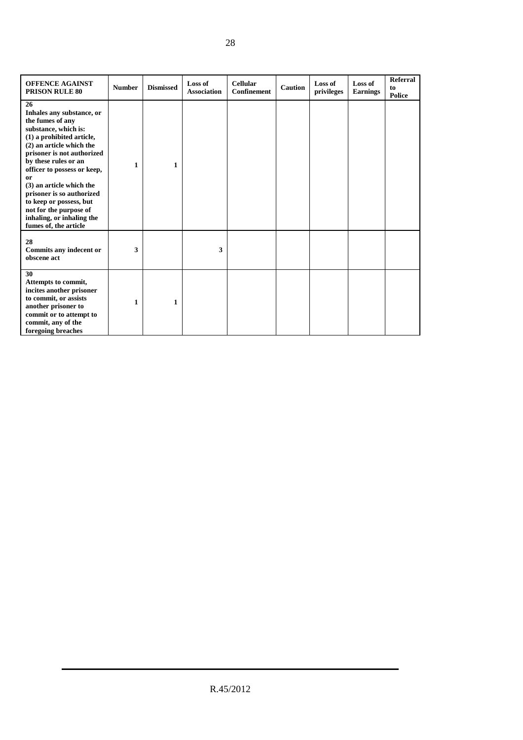| <b>OFFENCE AGAINST</b><br><b>PRISON RULE 80</b>                                                                                                                                                                                                                                                                                                                                                            | <b>Number</b> | <b>Dismissed</b> | Loss of<br><b>Association</b> | <b>Cellular</b><br><b>Confinement</b> | <b>Caution</b> | Loss of<br>privileges | Loss of<br><b>Earnings</b> | Referral<br>to<br><b>Police</b> |
|------------------------------------------------------------------------------------------------------------------------------------------------------------------------------------------------------------------------------------------------------------------------------------------------------------------------------------------------------------------------------------------------------------|---------------|------------------|-------------------------------|---------------------------------------|----------------|-----------------------|----------------------------|---------------------------------|
| 26<br>Inhales any substance, or<br>the fumes of any<br>substance, which is:<br>(1) a prohibited article,<br>(2) an article which the<br>prisoner is not authorized<br>by these rules or an<br>officer to possess or keep,<br><b>or</b><br>(3) an article which the<br>prisoner is so authorized<br>to keep or possess, but<br>not for the purpose of<br>inhaling, or inhaling the<br>fumes of, the article | 1             | $\mathbf{1}$     |                               |                                       |                |                       |                            |                                 |
| 28<br>Commits any indecent or<br>obscene act                                                                                                                                                                                                                                                                                                                                                               | 3             |                  | 3                             |                                       |                |                       |                            |                                 |
| 30<br>Attempts to commit,<br>incites another prisoner<br>to commit, or assists<br>another prisoner to<br>commit or to attempt to<br>commit, any of the<br>foregoing breaches                                                                                                                                                                                                                               | 1             | $\mathbf{1}$     |                               |                                       |                |                       |                            |                                 |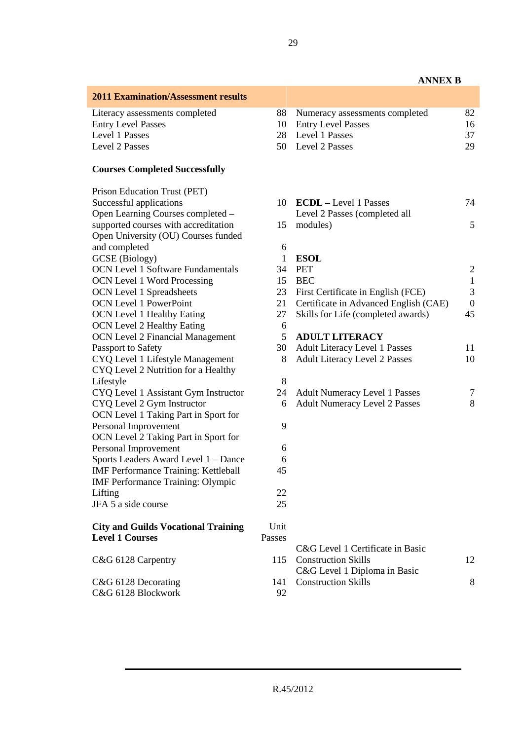29

# **ANNEX B**

| <b>2011 Examination/Assessment results</b>                                  |              |                                                                |                  |
|-----------------------------------------------------------------------------|--------------|----------------------------------------------------------------|------------------|
| Literacy assessments completed                                              | 88           | Numeracy assessments completed                                 | 82               |
| <b>Entry Level Passes</b>                                                   | 10           | <b>Entry Level Passes</b>                                      | 16               |
| Level 1 Passes                                                              | 28           | Level 1 Passes                                                 | 37               |
| Level 2 Passes                                                              | 50           | Level 2 Passes                                                 | 29               |
| <b>Courses Completed Successfully</b>                                       |              |                                                                |                  |
| Prison Education Trust (PET)                                                |              |                                                                |                  |
| Successful applications                                                     | 10           | <b>ECDL</b> - Level 1 Passes                                   | 74               |
| Open Learning Courses completed -                                           |              | Level 2 Passes (completed all                                  |                  |
| supported courses with accreditation<br>Open University (OU) Courses funded | 15           | modules)                                                       | 5                |
| and completed                                                               | 6            |                                                                |                  |
| <b>GCSE</b> (Biology)                                                       | $\mathbf{1}$ | <b>ESOL</b>                                                    |                  |
| <b>OCN Level 1 Software Fundamentals</b>                                    | 34           | <b>PET</b>                                                     | $\overline{c}$   |
| OCN Level 1 Word Processing                                                 | 15           | <b>BEC</b>                                                     | $\mathbf{1}$     |
| <b>OCN</b> Level 1 Spreadsheets                                             | 23           | First Certificate in English (FCE)                             | 3                |
| <b>OCN Level 1 PowerPoint</b>                                               | 21           | Certificate in Advanced English (CAE)                          | $\boldsymbol{0}$ |
| <b>OCN Level 1 Healthy Eating</b>                                           | 27           | Skills for Life (completed awards)                             | 45               |
| <b>OCN Level 2 Healthy Eating</b>                                           | 6            |                                                                |                  |
| <b>OCN Level 2 Financial Management</b>                                     | 5            | <b>ADULT LITERACY</b>                                          |                  |
| Passport to Safety                                                          | 30           | <b>Adult Literacy Level 1 Passes</b>                           | 11               |
| CYQ Level 1 Lifestyle Management<br>CYQ Level 2 Nutrition for a Healthy     | 8            | <b>Adult Literacy Level 2 Passes</b>                           | 10               |
| Lifestyle                                                                   | 8            |                                                                |                  |
| CYQ Level 1 Assistant Gym Instructor                                        | 24           | <b>Adult Numeracy Level 1 Passes</b>                           | $\overline{7}$   |
| CYQ Level 2 Gym Instructor<br>OCN Level 1 Taking Part in Sport for          | 6            | <b>Adult Numeracy Level 2 Passes</b>                           | 8                |
| Personal Improvement                                                        | 9            |                                                                |                  |
| OCN Level 2 Taking Part in Sport for                                        |              |                                                                |                  |
| Personal Improvement                                                        | 6            |                                                                |                  |
| Sports Leaders Award Level 1 - Dance                                        | 6            |                                                                |                  |
| IMF Performance Training: Kettleball                                        | 45           |                                                                |                  |
| IMF Performance Training: Olympic                                           |              |                                                                |                  |
| Lifting                                                                     | 22           |                                                                |                  |
| JFA 5 a side course                                                         | 25           |                                                                |                  |
| <b>City and Guilds Vocational Training</b>                                  | Unit         |                                                                |                  |
| <b>Level 1 Courses</b>                                                      | Passes       |                                                                |                  |
| C&G 6128 Carpentry                                                          | 115          | C&G Level 1 Certificate in Basic<br><b>Construction Skills</b> | 12               |
| C&G 6128 Decorating                                                         | 141          | C&G Level 1 Diploma in Basic<br><b>Construction Skills</b>     | 8                |
| C&G 6128 Blockwork                                                          | 92           |                                                                |                  |
|                                                                             |              |                                                                |                  |